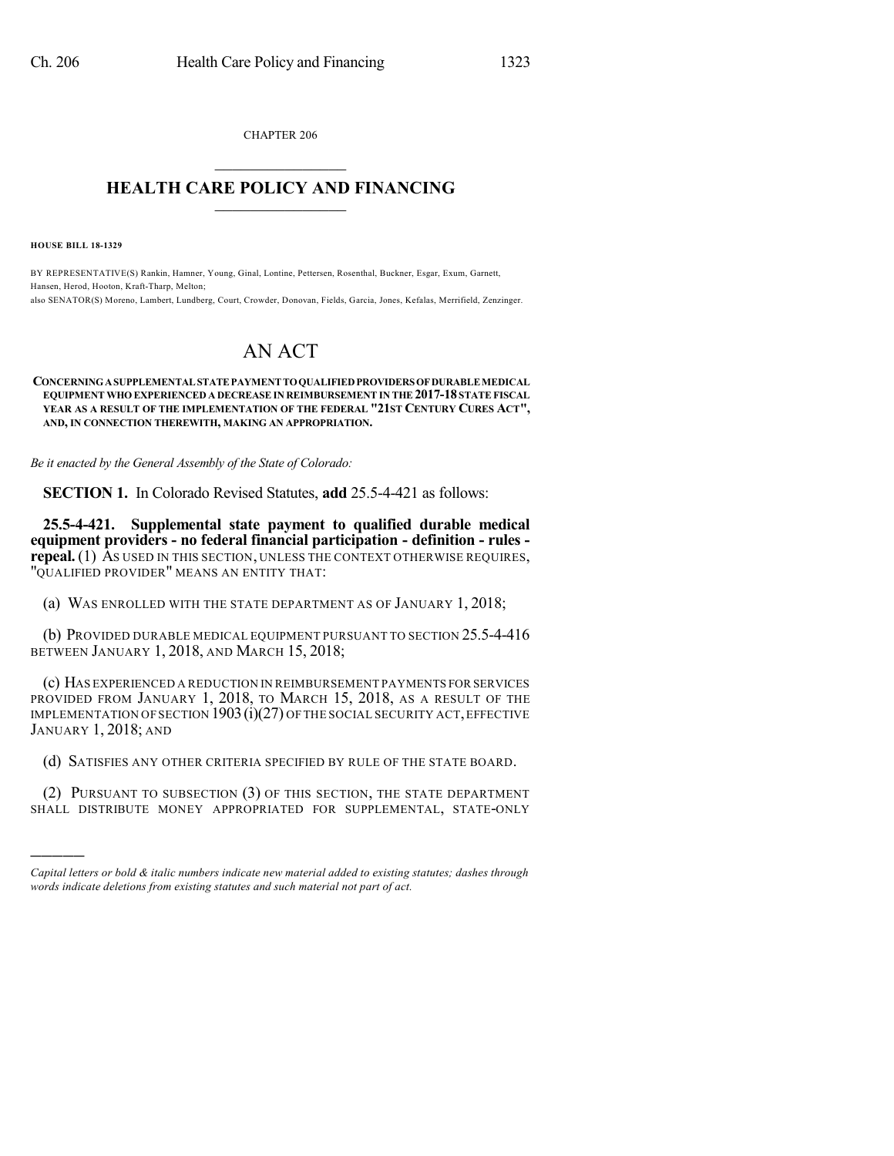CHAPTER 206  $\mathcal{L}_\text{max}$  . The set of the set of the set of the set of the set of the set of the set of the set of the set of the set of the set of the set of the set of the set of the set of the set of the set of the set of the set

## **HEALTH CARE POLICY AND FINANCING**  $\_$   $\_$   $\_$   $\_$   $\_$   $\_$   $\_$   $\_$

**HOUSE BILL 18-1329**

)))))

BY REPRESENTATIVE(S) Rankin, Hamner, Young, Ginal, Lontine, Pettersen, Rosenthal, Buckner, Esgar, Exum, Garnett, Hansen, Herod, Hooton, Kraft-Tharp, Melton; also SENATOR(S) Moreno, Lambert, Lundberg, Court, Crowder, Donovan, Fields, Garcia, Jones, Kefalas, Merrifield, Zenzinger.

## AN ACT

## **CONCERNINGASUPPLEMENTALSTATEPAYMENTTOQUALIFIEDPROVIDERS OFDURABLEMEDICAL EQUIPMENT WHO EXPERIENCED A DECREASE IN REIMBURSEMENT IN THE 2017-18 STATE FISCAL YEAR AS A RESULT OF THE IMPLEMENTATION OF THE FEDERAL "21ST CENTURY CURES ACT", AND, IN CONNECTION THEREWITH, MAKING AN APPROPRIATION.**

*Be it enacted by the General Assembly of the State of Colorado:*

**SECTION 1.** In Colorado Revised Statutes, **add** 25.5-4-421 as follows:

**25.5-4-421. Supplemental state payment to qualified durable medical equipment providers - no federal financial participation - definition - rules repeal.** (1) As used in this section, unless the context otherwise requires, "QUALIFIED PROVIDER" MEANS AN ENTITY THAT:

(a) WAS ENROLLED WITH THE STATE DEPARTMENT AS OF JANUARY 1, 2018;

(b) PROVIDED DURABLE MEDICAL EQUIPMENT PURSUANT TO SECTION 25.5-4-416 BETWEEN JANUARY 1, 2018, AND MARCH 15, 2018;

(c) HAS EXPERIENCED A REDUCTION IN REIMBURSEMENT PAYMENTS FOR SERVICES PROVIDED FROM JANUARY 1, 2018, TO MARCH 15, 2018, AS A RESULT OF THE IMPLEMENTATION OF SECTION 1903(i)(27) OF THE SOCIAL SECURITY ACT,EFFECTIVE JANUARY 1, 2018; AND

(d) SATISFIES ANY OTHER CRITERIA SPECIFIED BY RULE OF THE STATE BOARD.

(2) PURSUANT TO SUBSECTION (3) OF THIS SECTION, THE STATE DEPARTMENT SHALL DISTRIBUTE MONEY APPROPRIATED FOR SUPPLEMENTAL, STATE-ONLY

*Capital letters or bold & italic numbers indicate new material added to existing statutes; dashes through words indicate deletions from existing statutes and such material not part of act.*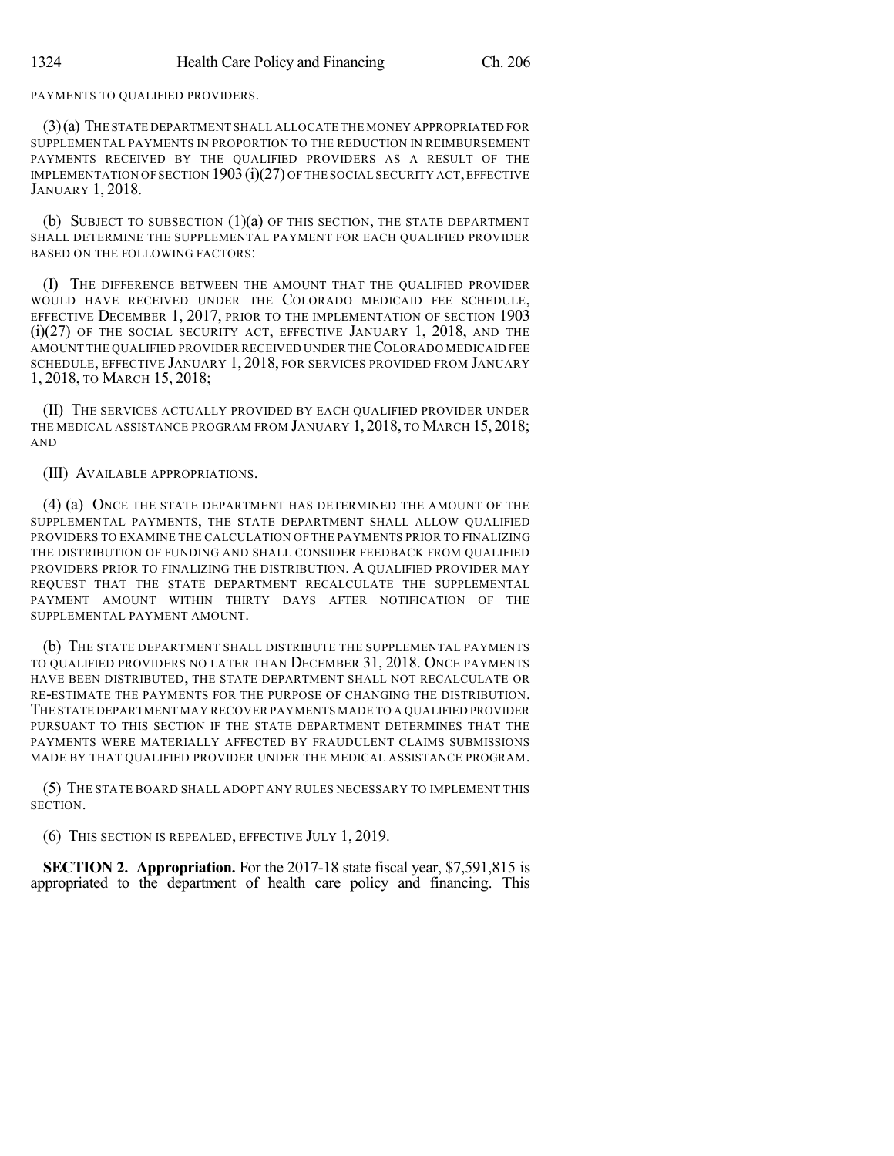## PAYMENTS TO QUALIFIED PROVIDERS.

(3)(a) THE STATE DEPARTMENT SHALL ALLOCATE THE MONEY APPROPRIATED FOR SUPPLEMENTAL PAYMENTS IN PROPORTION TO THE REDUCTION IN REIMBURSEMENT PAYMENTS RECEIVED BY THE QUALIFIED PROVIDERS AS A RESULT OF THE IMPLEMENTATION OF SECTION 1903 (i)(27) OF THE SOCIAL SECURITY ACT, EFFECTIVE JANUARY 1, 2018.

(b) SUBJECT TO SUBSECTION (1)(a) OF THIS SECTION, THE STATE DEPARTMENT SHALL DETERMINE THE SUPPLEMENTAL PAYMENT FOR EACH QUALIFIED PROVIDER BASED ON THE FOLLOWING FACTORS:

(I) THE DIFFERENCE BETWEEN THE AMOUNT THAT THE QUALIFIED PROVIDER WOULD HAVE RECEIVED UNDER THE COLORADO MEDICAID FEE SCHEDULE, EFFECTIVE DECEMBER 1, 2017, PRIOR TO THE IMPLEMENTATION OF SECTION 1903 (i)(27) OF THE SOCIAL SECURITY ACT, EFFECTIVE JANUARY 1, 2018, AND THE AMOUNT THE QUALIFIED PROVIDER RECEIVED UNDER THECOLORADO MEDICAID FEE SCHEDULE, EFFECTIVE JANUARY 1, 2018, FOR SERVICES PROVIDED FROM JANUARY 1, 2018, TO MARCH 15, 2018;

(II) THE SERVICES ACTUALLY PROVIDED BY EACH QUALIFIED PROVIDER UNDER THE MEDICAL ASSISTANCE PROGRAM FROM JANUARY 1, 2018, TO MARCH 15, 2018; AND

(III) AVAILABLE APPROPRIATIONS.

(4) (a) ONCE THE STATE DEPARTMENT HAS DETERMINED THE AMOUNT OF THE SUPPLEMENTAL PAYMENTS, THE STATE DEPARTMENT SHALL ALLOW QUALIFIED PROVIDERS TO EXAMINE THE CALCULATION OF THE PAYMENTS PRIOR TO FINALIZING THE DISTRIBUTION OF FUNDING AND SHALL CONSIDER FEEDBACK FROM QUALIFIED PROVIDERS PRIOR TO FINALIZING THE DISTRIBUTION. A QUALIFIED PROVIDER MAY REQUEST THAT THE STATE DEPARTMENT RECALCULATE THE SUPPLEMENTAL PAYMENT AMOUNT WITHIN THIRTY DAYS AFTER NOTIFICATION OF THE SUPPLEMENTAL PAYMENT AMOUNT.

(b) THE STATE DEPARTMENT SHALL DISTRIBUTE THE SUPPLEMENTAL PAYMENTS TO QUALIFIED PROVIDERS NO LATER THAN DECEMBER 31, 2018. ONCE PAYMENTS HAVE BEEN DISTRIBUTED, THE STATE DEPARTMENT SHALL NOT RECALCULATE OR RE-ESTIMATE THE PAYMENTS FOR THE PURPOSE OF CHANGING THE DISTRIBUTION. THE STATE DEPARTMENT MAY RECOVER PAYMENTS MADE TO A QUALIFIED PROVIDER PURSUANT TO THIS SECTION IF THE STATE DEPARTMENT DETERMINES THAT THE PAYMENTS WERE MATERIALLY AFFECTED BY FRAUDULENT CLAIMS SUBMISSIONS MADE BY THAT QUALIFIED PROVIDER UNDER THE MEDICAL ASSISTANCE PROGRAM.

(5) THE STATE BOARD SHALL ADOPT ANY RULES NECESSARY TO IMPLEMENT THIS SECTION.

(6) THIS SECTION IS REPEALED, EFFECTIVE JULY 1, 2019.

**SECTION 2. Appropriation.** For the 2017-18 state fiscal year, \$7,591,815 is appropriated to the department of health care policy and financing. This